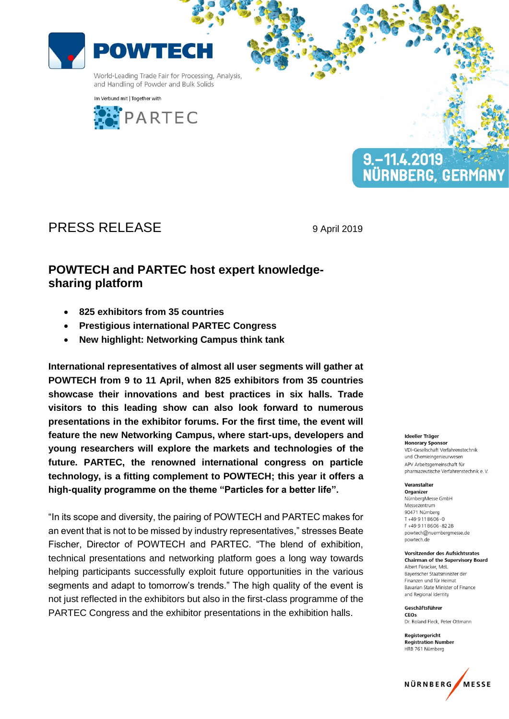

Im Verbund mit | Together with





# PRESS RELEASE 9 April 2019

## **POWTECH and PARTEC host expert knowledgesharing platform**

- **825 exhibitors from 35 countries**
- **Prestigious international PARTEC Congress**
- **New highlight: Networking Campus think tank**

**International representatives of almost all user segments will gather at POWTECH from 9 to 11 April, when 825 exhibitors from 35 countries showcase their innovations and best practices in six halls. Trade visitors to this leading show can also look forward to numerous presentations in the exhibitor forums. For the first time, the event will feature the new Networking Campus, where start-ups, developers and young researchers will explore the markets and technologies of the future. PARTEC, the renowned international congress on particle technology, is a fitting complement to POWTECH; this year it offers a high-quality programme on the theme "Particles for a better life".** 

"In its scope and diversity, the pairing of POWTECH and PARTEC makes for an event that is not to be missed by industry representatives," stresses Beate Fischer, Director of POWTECH and PARTEC. "The blend of exhibition, technical presentations and networking platform goes a long way towards helping participants successfully exploit future opportunities in the various segments and adapt to tomorrow's trends." The high quality of the event is not just reflected in the exhibitors but also in the first-class programme of the PARTEC Congress and the exhibitor presentations in the exhibition halls.

#### Ideeller Träger

**Honorary Sponsor** VDI-Gesellschaft Verfahrenstechnik und Chemieingenieurwesen APV Arheitsgemeinschaft für pharmazeutische Verfahrenstechnik e.V.

#### Veranstalter Organizer

NürnbergMesse GmbH Messezentrum 90471 Nürnberg T+49 9118606-0 F+499118606-8228 powtech@nuernbergmesse.de powtech.de

#### **Vorsitzender des Aufsichtsrates Chairman of the Supervisory Board**

Albert Füracker, MdL Baverischer Staatsminister der Finanzen und für Heimat Bavarian State Minister of Finance and Regional Identity

Geschäftsführer CEOS Dr. Roland Fleck, Peter Ottmann

Registergericht **Registration Number** HRB 761 Nürnberg

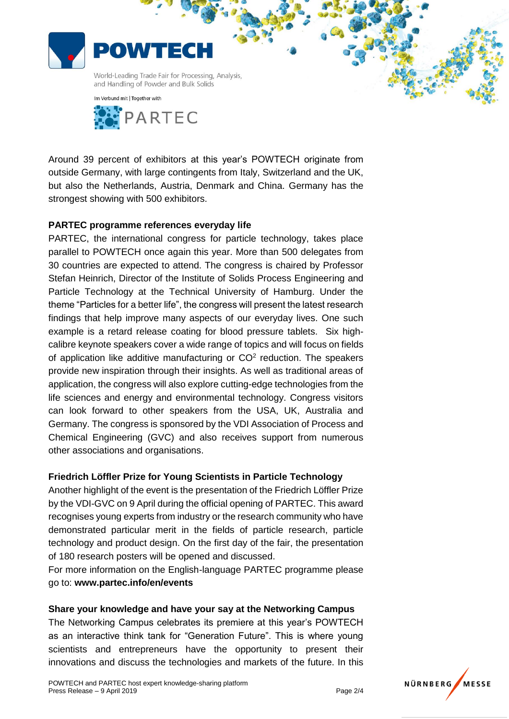





Around 39 percent of exhibitors at this year's POWTECH originate from outside Germany, with large contingents from Italy, Switzerland and the UK, but also the Netherlands, Austria, Denmark and China. Germany has the strongest showing with 500 exhibitors.

### **PARTEC programme references everyday life**

PARTEC, the international congress for particle technology, takes place parallel to POWTECH once again this year. More than 500 delegates from 30 countries are expected to attend. The congress is chaired by Professor Stefan Heinrich, Director of the Institute of Solids Process Engineering and Particle Technology at the Technical University of Hamburg. Under the theme "Particles for a better life", the congress will present the latest research findings that help improve many aspects of our everyday lives. One such example is a retard release coating for blood pressure tablets. Six highcalibre keynote speakers cover a wide range of topics and will focus on fields of application like additive manufacturing or  $CO<sup>2</sup>$  reduction. The speakers provide new inspiration through their insights. As well as traditional areas of application, the congress will also explore cutting-edge technologies from the life sciences and energy and environmental technology. Congress visitors can look forward to other speakers from the USA, UK, Australia and Germany. The congress is sponsored by the VDI Association of Process and Chemical Engineering (GVC) and also receives support from numerous other associations and organisations.

### **Friedrich Löffler Prize for Young Scientists in Particle Technology**

Another highlight of the event is the presentation of the Friedrich Löffler Prize by the VDI-GVC on 9 April during the official opening of PARTEC. This award recognises young experts from industry or the research community who have demonstrated particular merit in the fields of particle research, particle technology and product design. On the first day of the fair, the presentation of 180 research posters will be opened and discussed.

For more information on the English-language PARTEC programme please go to: **www.partec.info/en/events**

### **Share your knowledge and have your say at the Networking Campus**

The Networking Campus celebrates its premiere at this year's POWTECH as an interactive think tank for "Generation Future". This is where young scientists and entrepreneurs have the opportunity to present their innovations and discuss the technologies and markets of the future. In this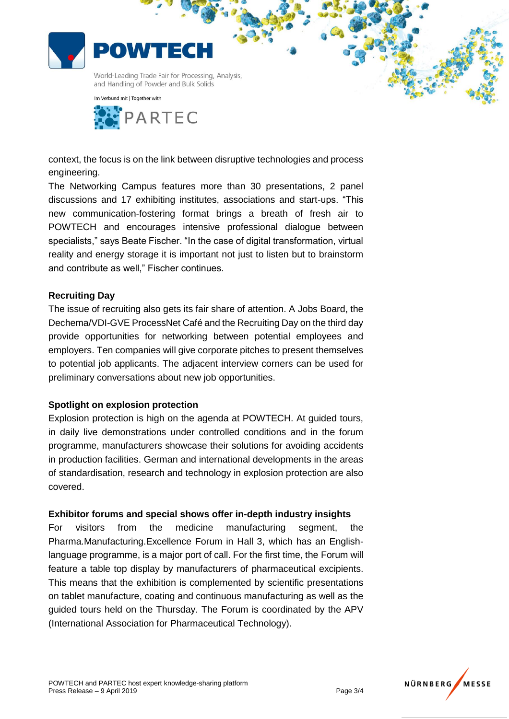



context, the focus is on the link between disruptive technologies and process engineering.

The Networking Campus features more than 30 presentations, 2 panel discussions and 17 exhibiting institutes, associations and start-ups. "This new communication-fostering format brings a breath of fresh air to POWTECH and encourages intensive professional dialogue between specialists," says Beate Fischer. "In the case of digital transformation, virtual reality and energy storage it is important not just to listen but to brainstorm and contribute as well," Fischer continues.

## **Recruiting Day**

The issue of recruiting also gets its fair share of attention. A Jobs Board, the Dechema/VDI-GVE ProcessNet Café and the Recruiting Day on the third day provide opportunities for networking between potential employees and employers. Ten companies will give corporate pitches to present themselves to potential job applicants. The adjacent interview corners can be used for preliminary conversations about new job opportunities.

### **Spotlight on explosion protection**

Explosion protection is high on the agenda at POWTECH. At guided tours, in daily live demonstrations under controlled conditions and in the forum programme, manufacturers showcase their solutions for avoiding accidents in production facilities. German and international developments in the areas of standardisation, research and technology in explosion protection are also covered.

### **Exhibitor forums and special shows offer in-depth industry insights**

For visitors from the medicine manufacturing segment, the Pharma.Manufacturing.Excellence Forum in Hall 3, which has an Englishlanguage programme, is a major port of call. For the first time, the Forum will feature a table top display by manufacturers of pharmaceutical excipients. This means that the exhibition is complemented by scientific presentations on tablet manufacture, coating and continuous manufacturing as well as the guided tours held on the Thursday. The Forum is coordinated by the APV (International Association for Pharmaceutical Technology).